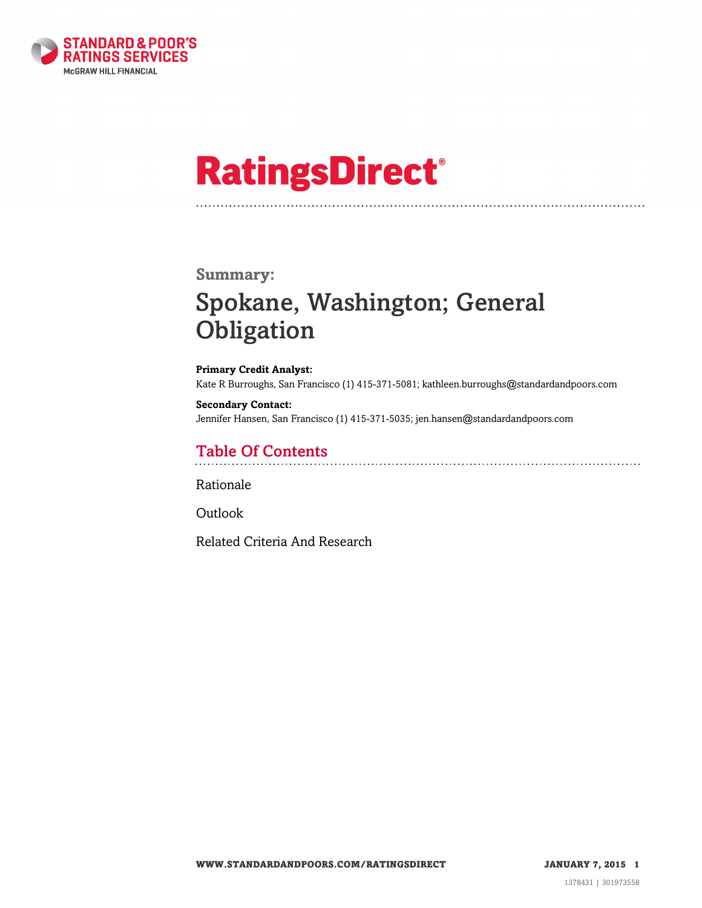

# **RatingsDirect®**

#### **Summary:**

# Spokane, Washington; General **Obligation**

**Primary Credit Analyst:** Kate R Burroughs, San Francisco (1) 415-371-5081; kathleen.burroughs@standardandpoors.com

**Secondary Contact:** Jennifer Hansen, San Francisco (1) 415-371-5035; jen.hansen@standardandpoors.com

### Table Of Contents

[Rationale](#page-1-0)

[Outlook](#page-3-0)

[Related Criteria And Research](#page-3-1)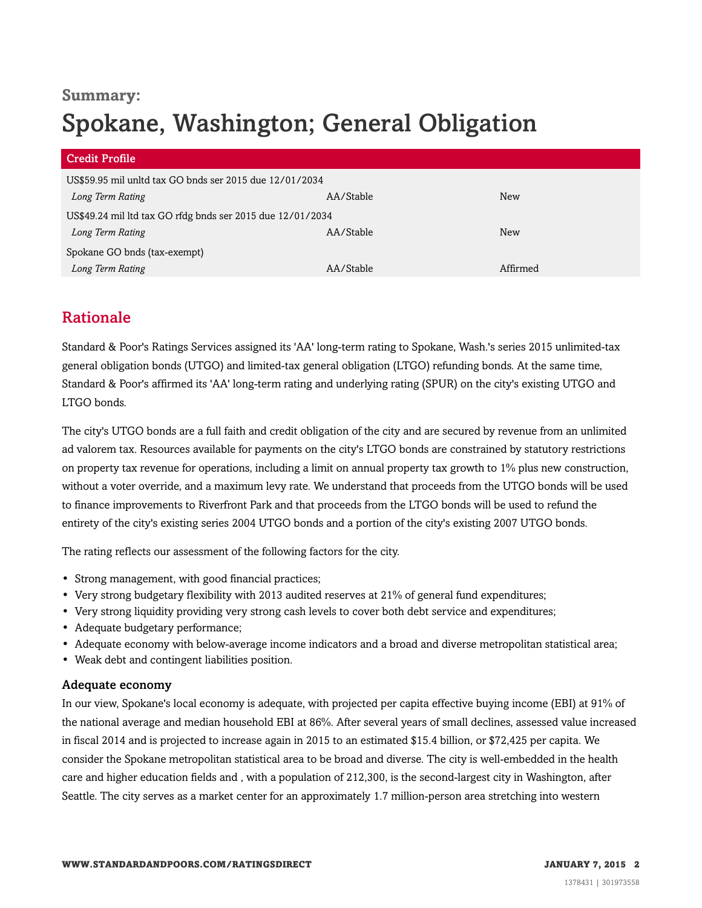#### **Summary:**

# Spokane, Washington; General Obligation

| <b>Credit Profile</b>                                      |           |            |  |
|------------------------------------------------------------|-----------|------------|--|
| US\$59.95 mil unltd tax GO bnds ser 2015 due 12/01/2034    |           |            |  |
| Long Term Rating                                           | AA/Stable | <b>New</b> |  |
| US\$49.24 mil ltd tax GO rfdg bnds ser 2015 due 12/01/2034 |           |            |  |
| Long Term Rating                                           | AA/Stable | <b>New</b> |  |
| Spokane GO bnds (tax-exempt)                               |           |            |  |
| Long Term Rating                                           | AA/Stable | Affirmed   |  |

# <span id="page-1-0"></span>Rationale

Standard & Poor's Ratings Services assigned its 'AA' long-term rating to Spokane, Wash.'s series 2015 unlimited-tax general obligation bonds (UTGO) and limited-tax general obligation (LTGO) refunding bonds. At the same time, Standard & Poor's affirmed its 'AA' long-term rating and underlying rating (SPUR) on the city's existing UTGO and LTGO bonds.

The city's UTGO bonds are a full faith and credit obligation of the city and are secured by revenue from an unlimited ad valorem tax. Resources available for payments on the city's LTGO bonds are constrained by statutory restrictions on property tax revenue for operations, including a limit on annual property tax growth to 1% plus new construction, without a voter override, and a maximum levy rate. We understand that proceeds from the UTGO bonds will be used to finance improvements to Riverfront Park and that proceeds from the LTGO bonds will be used to refund the entirety of the city's existing series 2004 UTGO bonds and a portion of the city's existing 2007 UTGO bonds.

The rating reflects our assessment of the following factors for the city.

- Strong management, with good financial practices;
- Very strong budgetary flexibility with 2013 audited reserves at 21% of general fund expenditures;
- Very strong liquidity providing very strong cash levels to cover both debt service and expenditures;
- Adequate budgetary performance;
- Adequate economy with below-average income indicators and a broad and diverse metropolitan statistical area;
- Weak debt and contingent liabilities position.

#### Adequate economy

In our view, Spokane's local economy is adequate, with projected per capita effective buying income (EBI) at 91% of the national average and median household EBI at 86%. After several years of small declines, assessed value increased in fiscal 2014 and is projected to increase again in 2015 to an estimated \$15.4 billion, or \$72,425 per capita. We consider the Spokane metropolitan statistical area to be broad and diverse. The city is well-embedded in the health care and higher education fields and , with a population of 212,300, is the second-largest city in Washington, after Seattle. The city serves as a market center for an approximately 1.7 million-person area stretching into western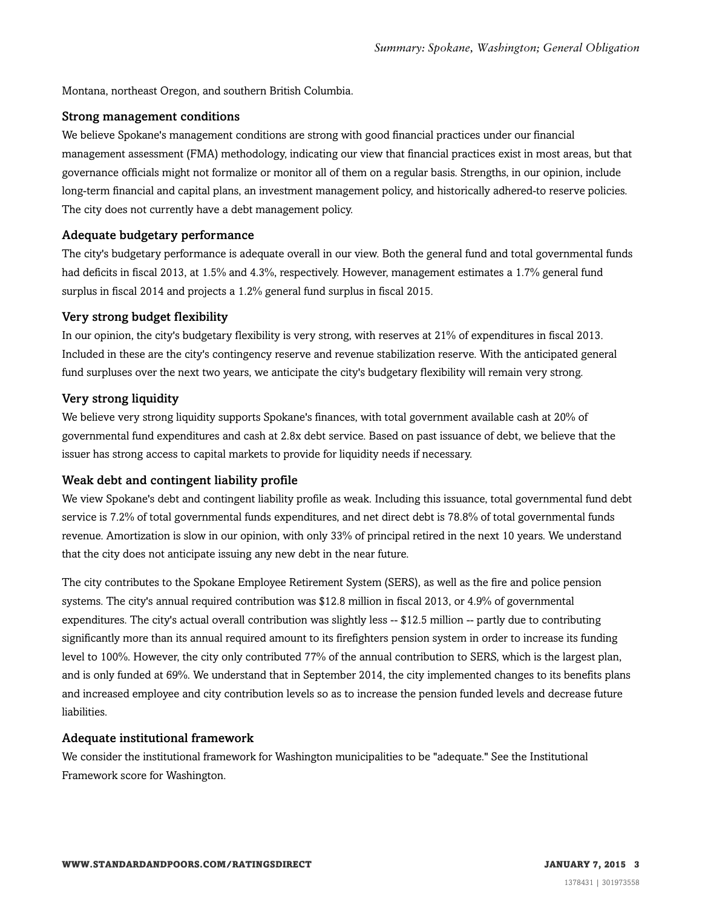Montana, northeast Oregon, and southern British Columbia.

#### Strong management conditions

We believe Spokane's management conditions are strong with good financial practices under our financial management assessment (FMA) methodology, indicating our view that financial practices exist in most areas, but that governance officials might not formalize or monitor all of them on a regular basis. Strengths, in our opinion, include long-term financial and capital plans, an investment management policy, and historically adhered-to reserve policies. The city does not currently have a debt management policy.

#### Adequate budgetary performance

The city's budgetary performance is adequate overall in our view. Both the general fund and total governmental funds had deficits in fiscal 2013, at 1.5% and 4.3%, respectively. However, management estimates a 1.7% general fund surplus in fiscal 2014 and projects a 1.2% general fund surplus in fiscal 2015.

#### Very strong budget flexibility

In our opinion, the city's budgetary flexibility is very strong, with reserves at 21% of expenditures in fiscal 2013. Included in these are the city's contingency reserve and revenue stabilization reserve. With the anticipated general fund surpluses over the next two years, we anticipate the city's budgetary flexibility will remain very strong.

#### Very strong liquidity

We believe very strong liquidity supports Spokane's finances, with total government available cash at 20% of governmental fund expenditures and cash at 2.8x debt service. Based on past issuance of debt, we believe that the issuer has strong access to capital markets to provide for liquidity needs if necessary.

#### Weak debt and contingent liability profile

We view Spokane's debt and contingent liability profile as weak. Including this issuance, total governmental fund debt service is 7.2% of total governmental funds expenditures, and net direct debt is 78.8% of total governmental funds revenue. Amortization is slow in our opinion, with only 33% of principal retired in the next 10 years. We understand that the city does not anticipate issuing any new debt in the near future.

The city contributes to the Spokane Employee Retirement System (SERS), as well as the fire and police pension systems. The city's annual required contribution was \$12.8 million in fiscal 2013, or 4.9% of governmental expenditures. The city's actual overall contribution was slightly less -- \$12.5 million -- partly due to contributing significantly more than its annual required amount to its firefighters pension system in order to increase its funding level to 100%. However, the city only contributed 77% of the annual contribution to SERS, which is the largest plan, and is only funded at 69%. We understand that in September 2014, the city implemented changes to its benefits plans and increased employee and city contribution levels so as to increase the pension funded levels and decrease future liabilities.

#### Adequate institutional framework

We consider the institutional framework for Washington municipalities to be "adequate." See the Institutional Framework score for Washington.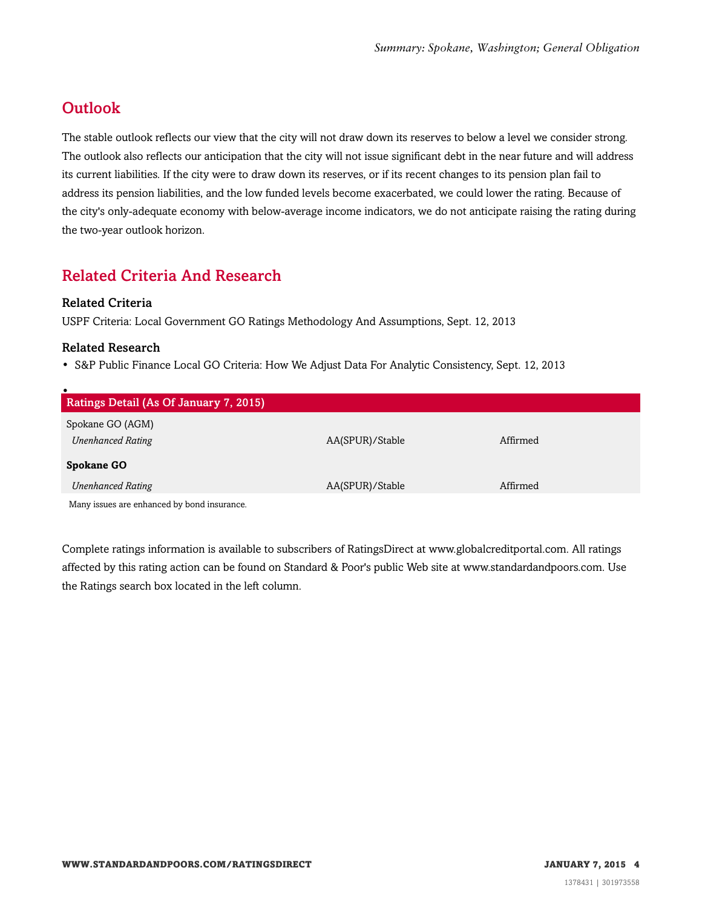# <span id="page-3-0"></span>**Outlook**

The stable outlook reflects our view that the city will not draw down its reserves to below a level we consider strong. The outlook also reflects our anticipation that the city will not issue significant debt in the near future and will address its current liabilities. If the city were to draw down its reserves, or if its recent changes to its pension plan fail to address its pension liabilities, and the low funded levels become exacerbated, we could lower the rating. Because of the city's only-adequate economy with below-average income indicators, we do not anticipate raising the rating during the two-year outlook horizon.

# <span id="page-3-1"></span>Related Criteria And Research

#### Related Criteria

USPF Criteria: Local Government GO Ratings Methodology And Assumptions, Sept. 12, 2013

#### Related Research

• S&P Public Finance Local GO Criteria: How We Adjust Data For Analytic Consistency, Sept. 12, 2013

| Ratings Detail (As Of January 7, 2015)      |                 |          |
|---------------------------------------------|-----------------|----------|
| Spokane GO (AGM)                            |                 |          |
| <b>Unenhanced Rating</b>                    | AA(SPUR)/Stable | Affirmed |
| <b>Spokane GO</b>                           |                 |          |
| <b>Unenhanced Rating</b>                    | AA(SPUR)/Stable | Affirmed |
| Many issues are enhanced by bond insurance. |                 |          |

Complete ratings information is available to subscribers of RatingsDirect at www.globalcreditportal.com. All ratings affected by this rating action can be found on Standard & Poor's public Web site at www.standardandpoors.com. Use the Ratings search box located in the left column.